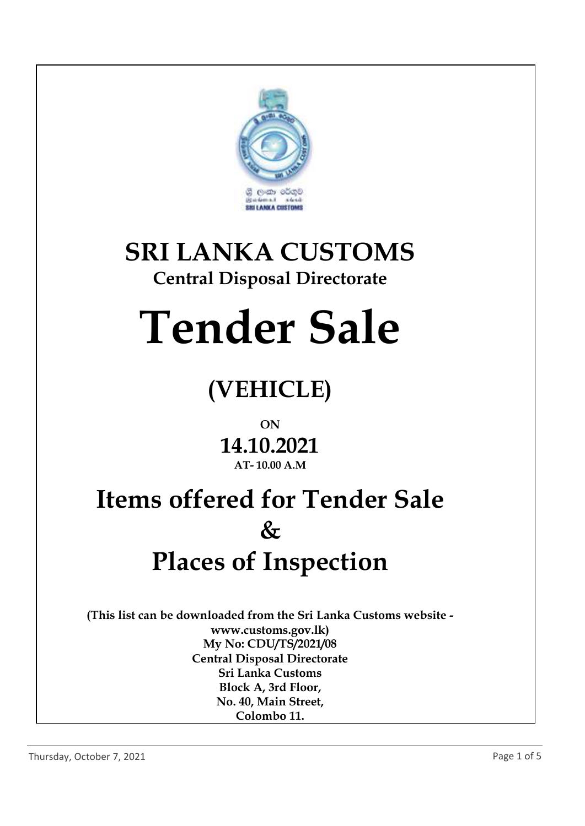

# **SRI LANKA CUSTOMS**

## **Central Disposal Directorate**

# **Tender Sale**

# **(VEHICLE)**

### **ON**

### **14.10.2021 AT- 10.00 A.M**

# **Items offered for Tender Sale & Places of Inspection**

**(This list can be downloaded from the Sri Lanka Customs website www.customs.gov.lk) My No: CDU/TS/2021/08 Central Disposal Directorate Sri Lanka Customs Block A, 3rd Floor, No. 40, Main Street, Colombo 11.**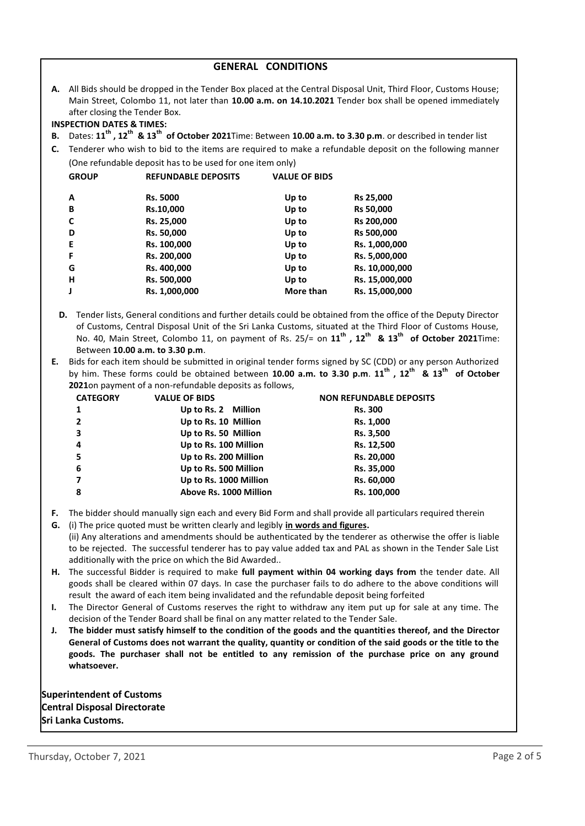| <b>GENERAL CONDITIONS</b>                                                                                                                                                                                                                                                                                                                                                                                                                                                                                                                                                                                                                                                  |                                                                                                                                                                                                                                                                                                                                                                                                                                                                                     |                                                           |                      |                  |  |  |  |  |
|----------------------------------------------------------------------------------------------------------------------------------------------------------------------------------------------------------------------------------------------------------------------------------------------------------------------------------------------------------------------------------------------------------------------------------------------------------------------------------------------------------------------------------------------------------------------------------------------------------------------------------------------------------------------------|-------------------------------------------------------------------------------------------------------------------------------------------------------------------------------------------------------------------------------------------------------------------------------------------------------------------------------------------------------------------------------------------------------------------------------------------------------------------------------------|-----------------------------------------------------------|----------------------|------------------|--|--|--|--|
|                                                                                                                                                                                                                                                                                                                                                                                                                                                                                                                                                                                                                                                                            | A. All Bids should be dropped in the Tender Box placed at the Central Disposal Unit, Third Floor, Customs House;<br>Main Street, Colombo 11, not later than 10.00 a.m. on 14.10.2021 Tender box shall be opened immediately<br>after closing the Tender Box.<br><b>INSPECTION DATES &amp; TIMES:</b><br>Dates: 11 <sup>th</sup> , 12 <sup>th</sup> & 13 <sup>th</sup> of October 2021Time: Between 10.00 a.m. to 3.30 p.m. or described in tender list                              |                                                           |                      |                  |  |  |  |  |
| В.                                                                                                                                                                                                                                                                                                                                                                                                                                                                                                                                                                                                                                                                         |                                                                                                                                                                                                                                                                                                                                                                                                                                                                                     |                                                           |                      |                  |  |  |  |  |
| C.                                                                                                                                                                                                                                                                                                                                                                                                                                                                                                                                                                                                                                                                         | Tenderer who wish to bid to the items are required to make a refundable deposit on the following manner                                                                                                                                                                                                                                                                                                                                                                             |                                                           |                      |                  |  |  |  |  |
|                                                                                                                                                                                                                                                                                                                                                                                                                                                                                                                                                                                                                                                                            |                                                                                                                                                                                                                                                                                                                                                                                                                                                                                     | (One refundable deposit has to be used for one item only) |                      |                  |  |  |  |  |
|                                                                                                                                                                                                                                                                                                                                                                                                                                                                                                                                                                                                                                                                            | <b>GROUP</b>                                                                                                                                                                                                                                                                                                                                                                                                                                                                        | <b>REFUNDABLE DEPOSITS</b>                                | <b>VALUE OF BIDS</b> |                  |  |  |  |  |
|                                                                                                                                                                                                                                                                                                                                                                                                                                                                                                                                                                                                                                                                            | Α                                                                                                                                                                                                                                                                                                                                                                                                                                                                                   | Rs. 5000                                                  | Up to                | Rs 25,000        |  |  |  |  |
|                                                                                                                                                                                                                                                                                                                                                                                                                                                                                                                                                                                                                                                                            | В                                                                                                                                                                                                                                                                                                                                                                                                                                                                                   | Rs.10,000                                                 | Up to                | <b>Rs 50,000</b> |  |  |  |  |
|                                                                                                                                                                                                                                                                                                                                                                                                                                                                                                                                                                                                                                                                            | C                                                                                                                                                                                                                                                                                                                                                                                                                                                                                   | Rs. 25,000                                                | Up to                | Rs 200,000       |  |  |  |  |
|                                                                                                                                                                                                                                                                                                                                                                                                                                                                                                                                                                                                                                                                            | D                                                                                                                                                                                                                                                                                                                                                                                                                                                                                   | Rs. 50,000                                                | Up to                | Rs 500,000       |  |  |  |  |
|                                                                                                                                                                                                                                                                                                                                                                                                                                                                                                                                                                                                                                                                            | E                                                                                                                                                                                                                                                                                                                                                                                                                                                                                   | Rs. 100,000                                               | Up to                | Rs. 1,000,000    |  |  |  |  |
|                                                                                                                                                                                                                                                                                                                                                                                                                                                                                                                                                                                                                                                                            | F                                                                                                                                                                                                                                                                                                                                                                                                                                                                                   | Rs. 200,000                                               | Up to                | Rs. 5,000,000    |  |  |  |  |
|                                                                                                                                                                                                                                                                                                                                                                                                                                                                                                                                                                                                                                                                            | G                                                                                                                                                                                                                                                                                                                                                                                                                                                                                   | Rs. 400,000                                               | Up to                | Rs. 10,000,000   |  |  |  |  |
|                                                                                                                                                                                                                                                                                                                                                                                                                                                                                                                                                                                                                                                                            | н                                                                                                                                                                                                                                                                                                                                                                                                                                                                                   | Rs. 500,000                                               | Up to                | Rs. 15,000,000   |  |  |  |  |
|                                                                                                                                                                                                                                                                                                                                                                                                                                                                                                                                                                                                                                                                            | J                                                                                                                                                                                                                                                                                                                                                                                                                                                                                   | Rs. 1,000,000                                             | More than            | Rs. 15,000,000   |  |  |  |  |
| D. Tender lists, General conditions and further details could be obtained from the office of the Deputy Director<br>of Customs, Central Disposal Unit of the Sri Lanka Customs, situated at the Third Floor of Customs House,<br>No. 40, Main Street, Colombo 11, on payment of Rs. 25/= on 11 <sup>th</sup> , 12 <sup>th</sup> & 13 <sup>th</sup> of October 2021Time:<br>Between 10.00 a.m. to 3.30 p.m.<br>Bids for each item should be submitted in original tender forms signed by SC (CDD) or any person Authorized<br>Е.<br>by him. These forms could be obtained between 10.00 a.m. to 3.30 p.m. 11 <sup>th</sup> , 12 <sup>th</sup> & 13 <sup>th</sup> of October |                                                                                                                                                                                                                                                                                                                                                                                                                                                                                     |                                                           |                      |                  |  |  |  |  |
|                                                                                                                                                                                                                                                                                                                                                                                                                                                                                                                                                                                                                                                                            | 2021on payment of a non-refundable deposits as follows,<br><b>CATEGORY</b><br><b>VALUE OF BIDS</b><br><b>NON REFUNDABLE DEPOSITS</b>                                                                                                                                                                                                                                                                                                                                                |                                                           |                      |                  |  |  |  |  |
|                                                                                                                                                                                                                                                                                                                                                                                                                                                                                                                                                                                                                                                                            | $\mathbf{1}$                                                                                                                                                                                                                                                                                                                                                                                                                                                                        | Up to Rs. 2 Million                                       |                      | Rs. 300          |  |  |  |  |
|                                                                                                                                                                                                                                                                                                                                                                                                                                                                                                                                                                                                                                                                            | $\mathbf{2}$                                                                                                                                                                                                                                                                                                                                                                                                                                                                        | Up to Rs. 10 Million                                      |                      | Rs. 1,000        |  |  |  |  |
|                                                                                                                                                                                                                                                                                                                                                                                                                                                                                                                                                                                                                                                                            | 3                                                                                                                                                                                                                                                                                                                                                                                                                                                                                   | Up to Rs. 50 Million                                      |                      | Rs. 3,500        |  |  |  |  |
|                                                                                                                                                                                                                                                                                                                                                                                                                                                                                                                                                                                                                                                                            | 4                                                                                                                                                                                                                                                                                                                                                                                                                                                                                   | Up to Rs. 100 Million                                     |                      | Rs. 12,500       |  |  |  |  |
|                                                                                                                                                                                                                                                                                                                                                                                                                                                                                                                                                                                                                                                                            | 5                                                                                                                                                                                                                                                                                                                                                                                                                                                                                   | Up to Rs. 200 Million                                     |                      | Rs. 20,000       |  |  |  |  |
|                                                                                                                                                                                                                                                                                                                                                                                                                                                                                                                                                                                                                                                                            | 6                                                                                                                                                                                                                                                                                                                                                                                                                                                                                   | Up to Rs. 500 Million                                     |                      | Rs. 35,000       |  |  |  |  |
|                                                                                                                                                                                                                                                                                                                                                                                                                                                                                                                                                                                                                                                                            | 7                                                                                                                                                                                                                                                                                                                                                                                                                                                                                   | Up to Rs. 1000 Million                                    |                      | Rs. 60,000       |  |  |  |  |
|                                                                                                                                                                                                                                                                                                                                                                                                                                                                                                                                                                                                                                                                            | 8                                                                                                                                                                                                                                                                                                                                                                                                                                                                                   | Above Rs. 1000 Million                                    |                      | Rs. 100,000      |  |  |  |  |
| F.<br>G.                                                                                                                                                                                                                                                                                                                                                                                                                                                                                                                                                                                                                                                                   | The bidder should manually sign each and every Bid Form and shall provide all particulars required therein<br>(i) The price quoted must be written clearly and legibly in words and figures.<br>(ii) Any alterations and amendments should be authenticated by the tenderer as otherwise the offer is liable<br>to be rejected. The successful tenderer has to pay value added tax and PAL as shown in the Tender Sale List<br>additionally with the price on which the Bid Awarded |                                                           |                      |                  |  |  |  |  |

- **H.** The successful Bidder is required to make **full payment within 04 working days from** the tender date. All goods shall be cleared within 07 days. In case the purchaser fails to do adhere to the above conditions will result the award of each item being invalidated and the refundable deposit being forfeited
- **I.** The Director General of Customs reserves the right to withdraw any item put up for sale at any time. The decision of the Tender Board shall be final on any matter related to the Tender Sale.
- **J. The bidder must satisfy himself to the condition of the goods and the quantities thereof, and the Director General of Customs does not warrant the quality, quantity or condition of the said goods or the title to the goods. The purchaser shall not be entitled to any remission of the purchase price on any ground whatsoever.**

**Superintendent of Customs Central Disposal Directorate Sri Lanka Customs.**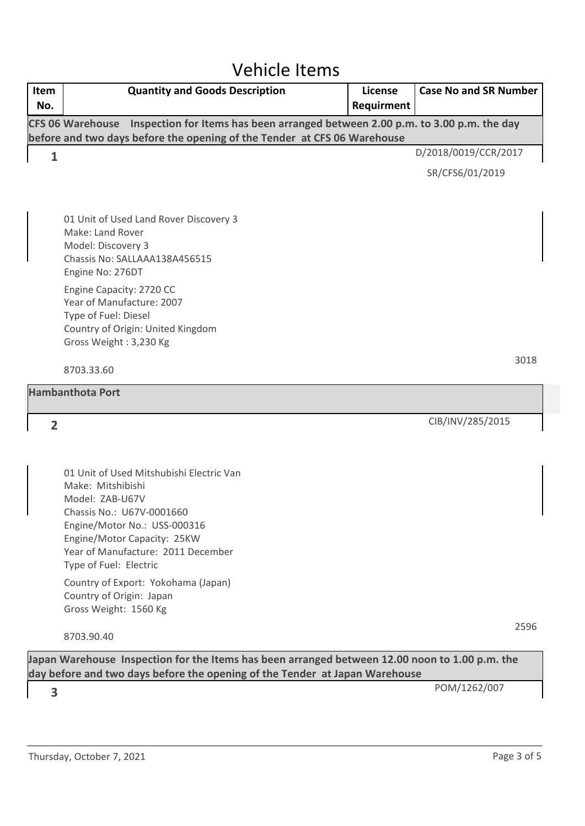### Vehicle Items

| Item<br>No.    | <b>Quantity and Goods Description</b>                                                                                                                                                                                                                                                                                                    | License<br>Requirment | <b>Case No and SR Number</b> |      |
|----------------|------------------------------------------------------------------------------------------------------------------------------------------------------------------------------------------------------------------------------------------------------------------------------------------------------------------------------------------|-----------------------|------------------------------|------|
|                | Inspection for Items has been arranged between 2.00 p.m. to 3.00 p.m. the day<br><b>CFS 06 Warehouse</b><br>before and two days before the opening of the Tender at CFS 06 Warehouse                                                                                                                                                     |                       |                              |      |
| $\mathbf{1}$   |                                                                                                                                                                                                                                                                                                                                          |                       | D/2018/0019/CCR/2017         |      |
|                |                                                                                                                                                                                                                                                                                                                                          |                       | SR/CFS6/01/2019              |      |
|                | 01 Unit of Used Land Rover Discovery 3<br>Make: Land Rover<br>Model: Discovery 3<br>Chassis No: SALLAAA138A456515<br>Engine No: 276DT                                                                                                                                                                                                    |                       |                              |      |
|                | Engine Capacity: 2720 CC<br>Year of Manufacture: 2007<br>Type of Fuel: Diesel<br>Country of Origin: United Kingdom<br>Gross Weight: 3,230 Kg                                                                                                                                                                                             |                       |                              |      |
|                | 8703.33.60                                                                                                                                                                                                                                                                                                                               |                       |                              | 3018 |
|                | <b>Hambanthota Port</b>                                                                                                                                                                                                                                                                                                                  |                       |                              |      |
| $\overline{2}$ |                                                                                                                                                                                                                                                                                                                                          |                       | CIB/INV/285/2015             |      |
|                | 01 Unit of Used Mitshubishi Electric Van<br>Make: Mitshibishi<br>Model: ZAB-U67V<br>Chassis No.: U67V-0001660<br>Engine/Motor No.: USS-000316<br>Engine/Motor Capacity: 25KW<br>Year of Manufacture: 2011 December<br>Type of Fuel: Electric<br>Country of Export: Yokohama (Japan)<br>Country of Origin: Japan<br>Gross Weight: 1560 Kg |                       |                              |      |

8703.90.40

**Japan Warehouse Inspection for the Items has been arranged between 12.00 noon to 1.00 p.m. the day before and two days before the opening of the Tender at Japan Warehouse**

POM/1262/007 **3**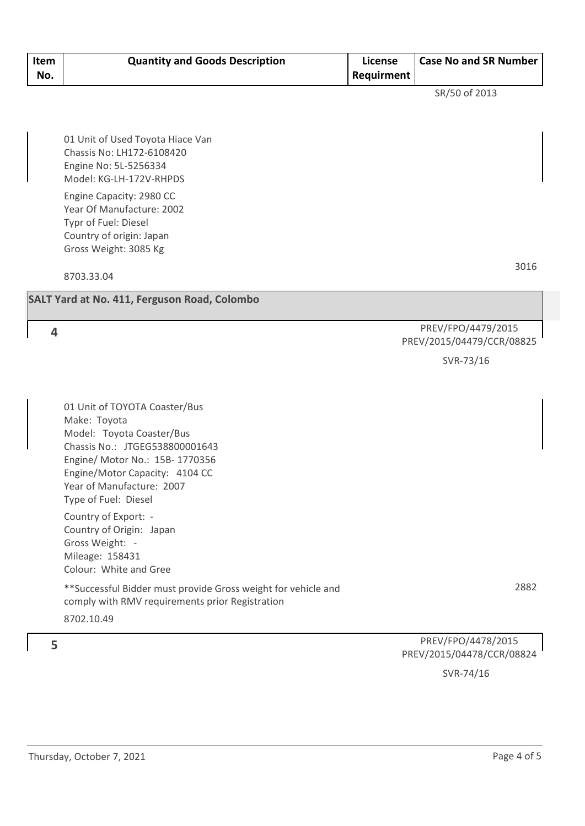| Item<br>No. | <b>Quantity and Goods Description</b> | License<br><b>Requirment</b> | <b>Case No and SR Number</b> |
|-------------|---------------------------------------|------------------------------|------------------------------|
|-------------|---------------------------------------|------------------------------|------------------------------|

SR/50 of 2013

01 Unit of Used Toyota Hiace Van Chassis No: LH172-6108420 Engine No: 5L-5256334 Model: KG-LH-172V-RHPDS

Engine Capacity: 2980 CC Year Of Manufacture: 2002 Typr of Fuel: Diesel Country of origin: Japan Gross Weight: 3085 Kg

8703.33.04

3016

#### **SALT Yard at No. 411, Ferguson Road, Colombo**

**4**

#### PREV/FPO/4479/2015 PREV/2015/04479/CCR/08825

SVR-73/16

01 Unit of TOYOTA Coaster/Bus Make: Toyota Model: Toyota Coaster/Bus Chassis No.: JTGEG538800001643 Engine/ Motor No.: 15B- 1770356 Engine/Motor Capacity: 4104 CC Year of Manufacture: 2007 Type of Fuel: Diesel

Country of Export: - Country of Origin: Japan Gross Weight: - Mileage: 158431 Colour: White and Gree

\*\*Successful Bidder must provide Gross weight for vehicle and comply with RMV requirements prior Registration 8702.10.49

2882

#### PREV/FPO/4478/2015 PREV/2015/04478/CCR/08824

SVR-74/16